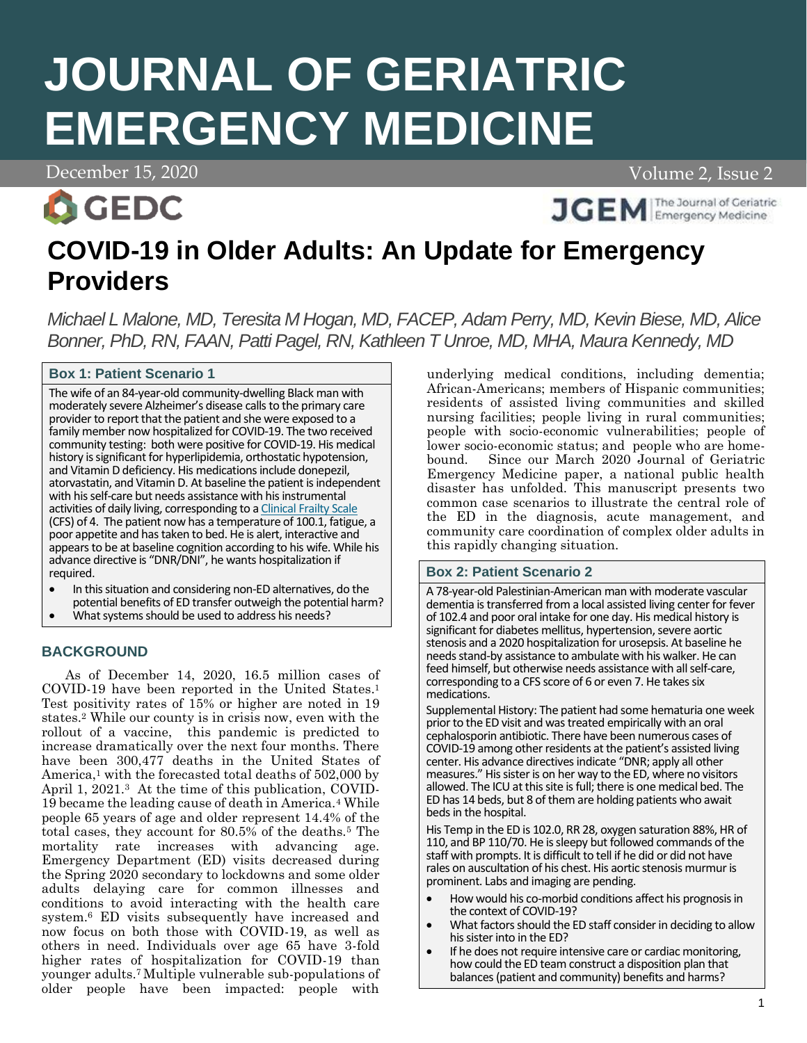# **JOURNAL OF GERIATRIC EMERGENCY MEDICINE**

December 15, 2020 Volume 2, Issue 2 Volume 2, Issue 2



**JGEM** Emergency Medicine

# **COVID-19 in Older Adults: An Update for Emergency Providers**

*Michael L Malone, MD, Teresita M Hogan, MD, FACEP, Adam Perry, MD, Kevin Biese, MD, Alice Bonner, PhD, RN, FAAN, Patti Pagel, RN, Kathleen T Unroe, MD, MHA, Maura Kennedy, MD*

# **Box 1: Patient Scenario 1**

The wife of an 84-year-old community-dwelling Black man with moderately severe Alzheimer's disease calls to the primary care provider to report that the patient and she were exposed to a family member now hospitalized for COVID-19. The two received community testing: both were positive for COVID-19. His medical history is significant for hyperlipidemia, orthostatic hypotension, and Vitamin D deficiency. His medications include donepezil, atorvastatin, and Vitamin D. At baseline the patient is independent with his self-care but needs assistance with his instrumental activities of daily living, corresponding to [a Clinical Frailty Scale](https://www.grepmed.com/images/4527/measurement-geriatrics-diagnosis-frailty-scale) (CFS) of 4. The patient now has a temperature of 100.1, fatigue, a poor appetite and has taken to bed. He is alert, interactive and appears to be at baseline cognition according to his wife. While his advance directive is "DNR/DNI", he wants hospitalization if required.

- In this situation and considering non-ED alternatives, do the potential benefits of ED transfer outweigh the potential harm?
- What systems should be used to address his needs?

# **BACKGROUND**

As of December 14, 2020, 16.5 million cases of COVID-19 have been reported in the United States. 1 Test positivity rates of 15% or higher are noted in 19 states.<sup>2</sup> While our county is in crisis now, even with the rollout of a vaccine, this pandemic is predicted to increase dramatically over the next four months. There have been 300,477 deaths in the United States of America,<sup>1</sup> with the forecasted total deaths of  $502,000$  by April 1, 2021.<sup>3</sup> At the time of this publication, COVID-19 became the leading cause of death in America.<sup>4</sup> While people 65 years of age and older represent 14.4% of the total cases, they account for 80.5% of the deaths.<sup>5</sup> The mortality rate increases with advancing age. Emergency Department (ED) visits decreased during the Spring 2020 secondary to lockdowns and some older adults delaying care for common illnesses and conditions to avoid interacting with the health care system.<sup>6</sup> ED visits subsequently have increased and now focus on both those with COVID-19, as well as others in need. Individuals over age 65 have 3-fold higher rates of hospitalization for COVID-19 than younger adults.7 Multiple vulnerable sub-populations of older people have been impacted: people with underlying medical conditions, including dementia; African-Americans; members of Hispanic communities; residents of assisted living communities and skilled nursing facilities; people living in rural communities; people with socio-economic vulnerabilities; people of lower socio-economic status; and people who are homebound. Since our March 2020 Journal of Geriatric Emergency Medicine paper, a national public health disaster has unfolded. This manuscript presents two common case scenarios to illustrate the central role of the ED in the diagnosis, acute management, and community care coordination of complex older adults in this rapidly changing situation.

# **Box 2: Patient Scenario 2**

A 78-year-old Palestinian-American man with moderate vascular dementia is transferred from a local assisted living center for fever of 102.4 and poor oral intake for one day. His medical history is significant for diabetes mellitus, hypertension, severe aortic stenosis and a 2020 hospitalization for urosepsis. At baseline he needs stand-by assistance to ambulate with his walker. He can feed himself, but otherwise needs assistance with all self-care, corresponding to a CFS score of 6 or even 7. He takes six medications.

Supplemental History: The patient had some hematuria one week prior to the ED visit and was treated empirically with an oral cephalosporin antibiotic. There have been numerous cases of COVID-19 among other residents at the patient's assisted living center. His advance directives indicate "DNR; apply all other measures." His sister is on her way to the ED, where no visitors allowed. The ICU at this site is full; there is one medical bed. The ED has 14 beds, but 8 of them are holding patients who await beds in the hospital.

His Temp in the ED is 102.0, RR 28, oxygen saturation 88%, HR of 110, and BP 110/70. He is sleepy but followed commands of the staff with prompts. It is difficult to tell if he did or did not have rales on auscultation of his chest. His aortic stenosis murmur is prominent. Labs and imaging are pending.

- How would his co-morbid conditions affect his prognosis in the context of COVID-19?
- What factors should the ED staff consider in deciding to allow his sister into in the ED?
- If he does not require intensive care or cardiac monitoring, how could the ED team construct a disposition plan that balances (patient and community) benefits and harms?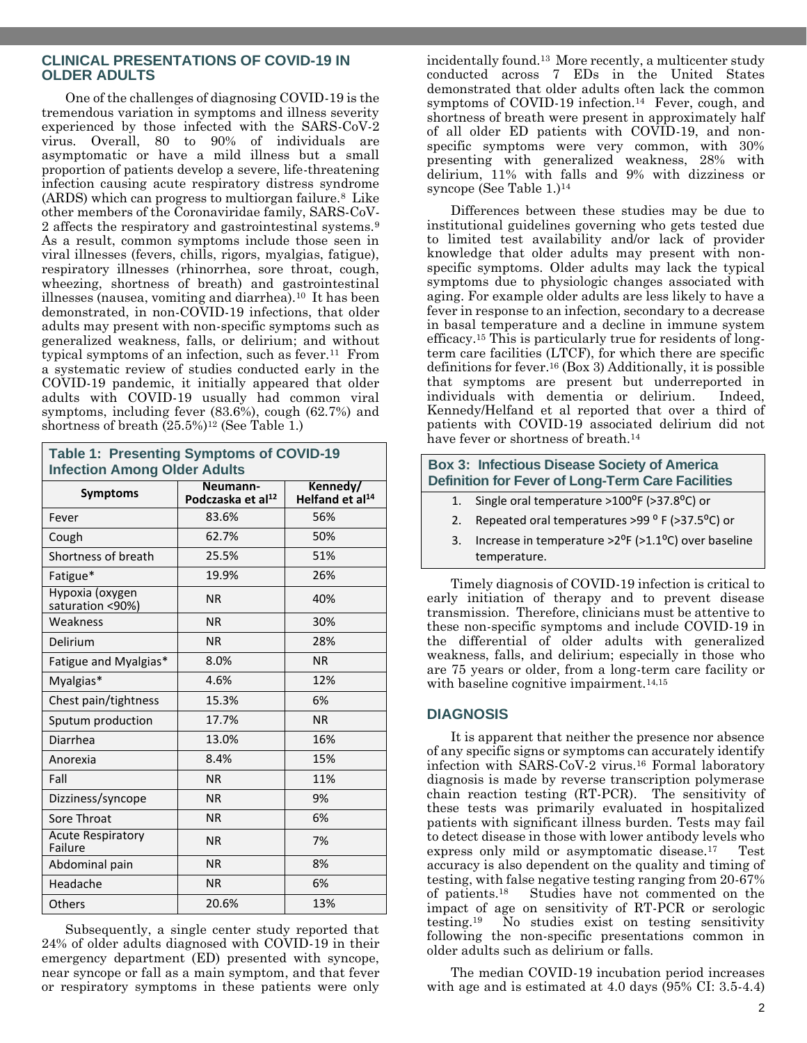# **CLINICAL PRESENTATIONS OF COVID-19 IN OLDER ADULTS**

One of the challenges of diagnosing COVID-19 is the tremendous variation in symptoms and illness severity experienced by those infected with the SARS-CoV-2 virus. Overall, 80 to 90% of individuals are asymptomatic or have a mild illness but a small proportion of patients develop a severe, life-threatening infection causing acute respiratory distress syndrome (ARDS) which can progress to multiorgan failure.<sup>8</sup> Like other members of the Coronaviridae family, SARS-CoV-2 affects the respiratory and gastrointestinal systems.<sup>9</sup> As a result, common symptoms include those seen in viral illnesses (fevers, chills, rigors, myalgias, fatigue), respiratory illnesses (rhinorrhea, sore throat, cough, wheezing, shortness of breath) and gastrointestinal illnesses (nausea, vomiting and diarrhea).<sup>10</sup> It has been demonstrated, in non-COVID-19 infections, that older adults may present with non-specific symptoms such as generalized weakness, falls, or delirium; and without typical symptoms of an infection, such as fever.<sup>11</sup> From a systematic review of studies conducted early in the COVID-19 pandemic, it initially appeared that older adults with COVID-19 usually had common viral symptoms, including fever (83.6%), cough (62.7%) and shortness of breath (25.5%)<sup>12</sup> (See Table 1.)

**Table 1: Presenting Symptoms of COVID-19 Infection Among Older Adults**

| <b>Symptoms</b>                     | Neumann-<br>Podczaska et al <sup>12</sup> | Kennedy/<br>Helfand et al <sup>14</sup> |  |
|-------------------------------------|-------------------------------------------|-----------------------------------------|--|
| Fever                               | 83.6%                                     | 56%                                     |  |
| Cough                               | 62.7%                                     | 50%                                     |  |
| Shortness of breath                 | 25.5%                                     | 51%                                     |  |
| Fatigue*                            | 19.9%                                     | 26%                                     |  |
| Hypoxia (oxygen<br>saturation <90%) | <b>NR</b>                                 | 40%                                     |  |
| Weakness                            | <b>NR</b>                                 | 30%                                     |  |
| Delirium                            | <b>NR</b>                                 | 28%                                     |  |
| Fatigue and Myalgias*               | 8.0%                                      | <b>NR</b>                               |  |
| Myalgias*                           | 4.6%                                      | 12%                                     |  |
| Chest pain/tightness                | 15.3%                                     | 6%                                      |  |
| Sputum production                   | 17.7%                                     | <b>NR</b>                               |  |
| Diarrhea                            | 13.0%                                     | 16%                                     |  |
| Anorexia                            | 8.4%                                      | 15%                                     |  |
| Fall                                | <b>NR</b>                                 | 11%                                     |  |
| Dizziness/syncope                   | <b>NR</b>                                 | 9%                                      |  |
| Sore Throat                         | <b>NR</b>                                 | 6%                                      |  |
| <b>Acute Respiratory</b><br>Failure | <b>NR</b>                                 | 7%                                      |  |
| Abdominal pain                      | <b>NR</b>                                 | 8%                                      |  |
| Headache                            | <b>NR</b>                                 | 6%                                      |  |
| Others                              | 20.6%                                     | 13%                                     |  |

Subsequently, a single center study reported that 24% of older adults diagnosed with COVID-19 in their emergency department (ED) presented with syncope, near syncope or fall as a main symptom, and that fever or respiratory symptoms in these patients were only

incidentally found.13 More recently, a multicenter study conducted across 7 EDs in the United States demonstrated that older adults often lack the common symptoms of COVID-19 infection.<sup>14</sup> Fever, cough, and shortness of breath were present in approximately half of all older ED patients with COVID-19, and nonspecific symptoms were very common, with 30% presenting with generalized weakness, 28% with delirium, 11% with falls and 9% with dizziness or syncope (See Table 1.)<sup>14</sup>

Differences between these studies may be due to institutional guidelines governing who gets tested due to limited test availability and/or lack of provider knowledge that older adults may present with nonspecific symptoms. Older adults may lack the typical symptoms due to physiologic changes associated with aging. For example older adults are less likely to have a fever in response to an infection, secondary to a decrease in basal temperature and a decline in immune system efficacy.<sup>15</sup> This is particularly true for residents of longterm care facilities (LTCF), for which there are specific definitions for fever. <sup>16</sup> (Box 3) Additionally, it is possible that symptoms are present but underreported in individuals with dementia or delirium. Indeed, Kennedy/Helfand et al reported that over a third of patients with COVID-19 associated delirium did not have fever or shortness of breath.<sup>14</sup>

| <b>Box 3: Infectious Disease Society of America</b><br><b>Definition for Fever of Long-Term Care Facilities</b>                                                                                                                |                                                      |  |  |  |
|--------------------------------------------------------------------------------------------------------------------------------------------------------------------------------------------------------------------------------|------------------------------------------------------|--|--|--|
| 1.                                                                                                                                                                                                                             | Single oral temperature >100°F (>37.8°C) or          |  |  |  |
| 2.                                                                                                                                                                                                                             | Repeated oral temperatures >99 °F (>37.5 °C) or      |  |  |  |
| 3.                                                                                                                                                                                                                             | Increase in temperature > 2°F (>1.1°C) over baseline |  |  |  |
|                                                                                                                                                                                                                                | temperature.                                         |  |  |  |
| Timely diagnosis of COVID-19 infection is critical to<br>early initiation of therapy and to prevent disease<br>transmission. Therefore, clinicians must be attentive to<br>these non-specific symptoms and include COVID-19 in |                                                      |  |  |  |

these non-specific symptoms and include COVID-19 in the differential of older adults with generalized weakness, falls, and delirium; especially in those who are 75 years or older, from a long-term care facility or with baseline cognitive impairment.<sup>14,15</sup>

#### **DIAGNOSIS**

It is apparent that neither the presence nor absence of any specific signs or symptoms can accurately identify infection with SARS-CoV-2 virus.<sup>16</sup> Formal laboratory diagnosis is made by reverse transcription polymerase chain reaction testing (RT-PCR). The sensitivity of these tests was primarily evaluated in hospitalized patients with significant illness burden. Tests may fail to detect disease in those with lower antibody levels who express only mild or asymptomatic disease.17 Test accuracy is also dependent on the quality and timing of testing, with false negative testing ranging from 20-67% of patients.18 Studies have not commented on the impact of age on sensitivity of RT-PCR or serologic testing.19 No studies exist on testing sensitivity following the non-specific presentations common in older adults such as delirium or falls.

The median COVID-19 incubation period increases with age and is estimated at 4.0 days (95% CI: 3.5-4.4)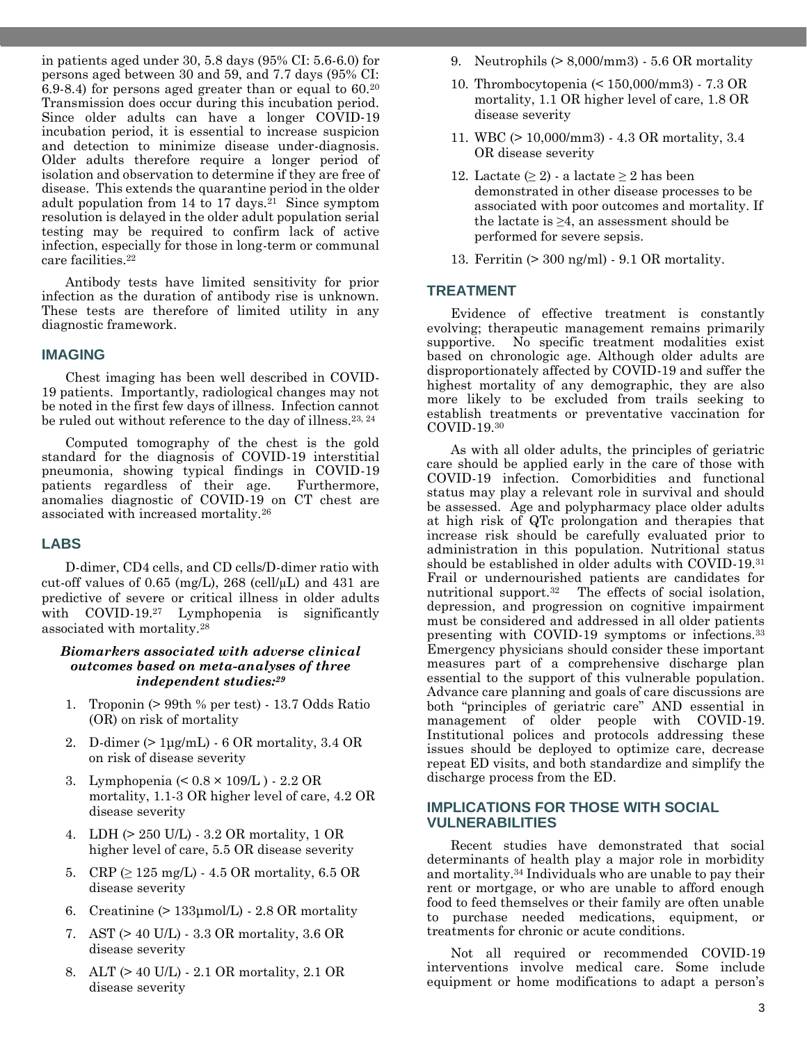in patients aged under 30, 5.8 days (95% CI: 5.6-6.0) for persons aged between 30 and 59, and 7.7 days (95% CI: 6.9-8.4) for persons aged greater than or equal to 60.<sup>20</sup> Transmission does occur during this incubation period. Since older adults can have a longer COVID‐19 incubation period, it is essential to increase suspicion and detection to minimize disease under-diagnosis. Older adults therefore require a longer period of isolation and observation to determine if they are free of disease. This extends the quarantine period in the older adult population from  $14$  to  $17$  days.<sup>21</sup> Since symptom resolution is delayed in the older adult population serial testing may be required to confirm lack of active infection, especially for those in long-term or communal care facilities.<sup>22</sup>

Antibody tests have limited sensitivity for prior infection as the duration of antibody rise is unknown. These tests are therefore of limited utility in any diagnostic framework.

#### **IMAGING**

Chest imaging has been well described in COVID-19 patients. Importantly, radiological changes may not be noted in the first few days of illness. Infection cannot be ruled out without reference to the day of illness.<sup>23, 24</sup>

Computed tomography of the chest is the gold standard for the diagnosis of COVID-19 interstitial pneumonia, showing typical findings in COVID-19 patients regardless of their age. Furthermore, anomalies diagnostic of COVID-19 on CT chest are associated with increased mortality.<sup>26</sup>

#### **LABS**

D-dimer, CD4 cells, and CD cells/D-dimer ratio with cut-off values of 0.65 (mg/L), 268 (cell/ $\mu$ L) and 431 are predictive of severe or critical illness in older adults with COVID-19.<sup>27</sup> Lymphopenia is significantly associated with mortality.<sup>28</sup>

#### *Biomarkers associated with adverse clinical outcomes based on meta-analyses of three independent studies: 29*

- 1. Troponin (> 99th % per test) 13.7 Odds Ratio (OR) on risk of mortality
- 2. D-dimer  $(>l\mu\alpha/L)$  6 OR mortality, 3.4 OR on risk of disease severity
- 3. Lymphopenia (< 0.8 × 109/L ) 2.2 OR mortality, 1.1-3 OR higher level of care, 4.2 OR disease severity
- 4. LDH (> 250 U/L) 3.2 OR mortality, 1 OR higher level of care, 5.5 OR disease severity
- 5. CRP  $( \geq 125 \text{ mg/L})$  4.5 OR mortality, 6.5 OR disease severity
- 6. Creatinine (> 133μmol/L) 2.8 OR mortality
- 7. AST (> 40 U/L) 3.3 OR mortality, 3.6 OR disease severity
- 8. ALT (> 40 U/L) 2.1 OR mortality, 2.1 OR disease severity
- 9. Neutrophils  $(> 8,000/\text{mm}3)$  5.6 OR mortality
- 10. Thrombocytopenia (< 150,000/mm3) 7.3 OR mortality, 1.1 OR higher level of care, 1.8 OR disease severity
- 11. WBC (> 10,000/mm3) 4.3 OR mortality, 3.4 OR disease severity
- 12. Lactate  $(\geq 2)$  a lactate  $\geq 2$  has been demonstrated in other disease processes to be associated with poor outcomes and mortality. If the lactate is  $\geq 4$ , an assessment should be performed for severe sepsis.
- 13. Ferritin (> 300 ng/ml) 9.1 OR mortality.

### **TREATMENT**

Evidence of effective treatment is constantly evolving; therapeutic management remains primarily supportive. No specific treatment modalities exist based on chronologic age. Although older adults are disproportionately affected by COVID-19 and suffer the highest mortality of any demographic, they are also more likely to be excluded from trails seeking to establish treatments or preventative vaccination for COVID-19.<sup>30</sup>

As with all older adults, the principles of geriatric care should be applied early in the care of those with COVID-19 infection. Comorbidities and functional status may play a relevant role in survival and should be assessed. Age and polypharmacy place older adults at high risk of QTc prolongation and therapies that increase risk should be carefully evaluated prior to administration in this population. Nutritional status should be established in older adults with COVID-19.<sup>31</sup> Frail or undernourished patients are candidates for nutritional support.<sup>32</sup> The effects of social isolation, depression, and progression on cognitive impairment must be considered and addressed in all older patients presenting with COVID-19 symptoms or infections.<sup>33</sup> Emergency physicians should consider these important measures part of a comprehensive discharge plan essential to the support of this vulnerable population. Advance care planning and goals of care discussions are both "principles of geriatric care" AND essential in management of older people with COVID-19. Institutional polices and protocols addressing these issues should be deployed to optimize care, decrease repeat ED visits, and both standardize and simplify the discharge process from the ED.

#### **IMPLICATIONS FOR THOSE WITH SOCIAL VULNERABILITIES**

Recent studies have demonstrated that social determinants of health play a major role in morbidity and mortality.<sup>34</sup> Individuals who are unable to pay their rent or mortgage, or who are unable to afford enough food to feed themselves or their family are often unable to purchase needed medications, equipment, or treatments for chronic or acute conditions.

Not all required or recommended COVID-19 interventions involve medical care. Some include equipment or home modifications to adapt a person's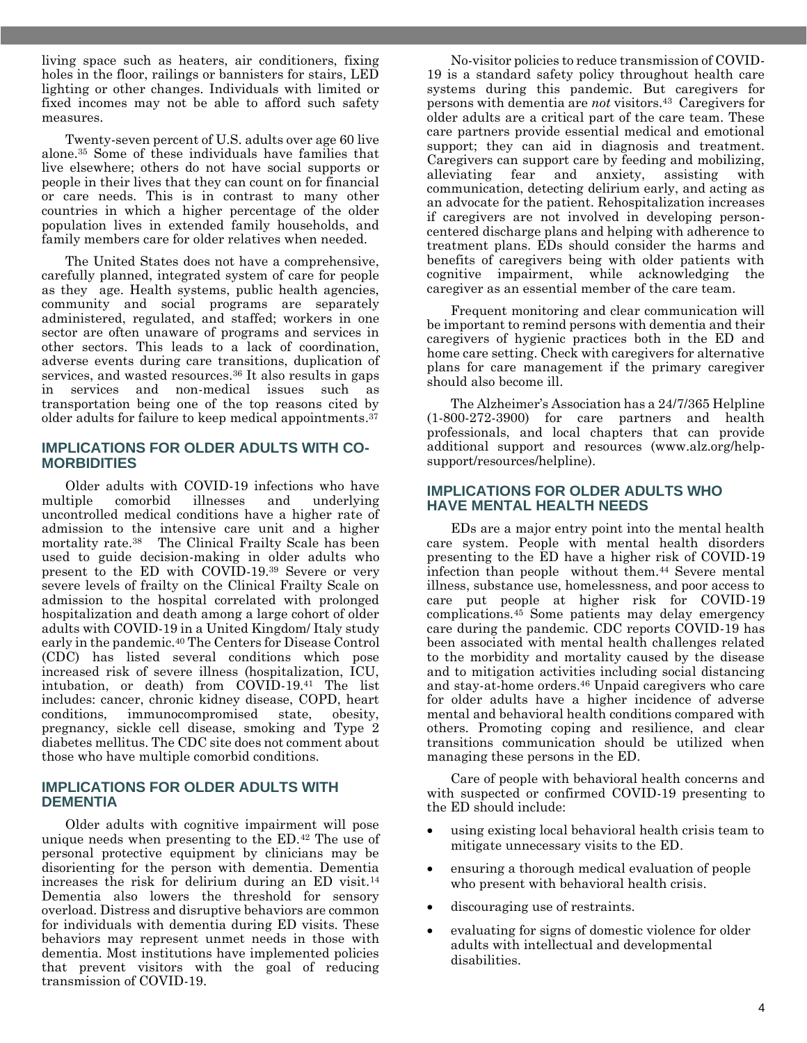living space such as heaters, air conditioners, fixing holes in the floor, railings or bannisters for stairs, LED lighting or other changes. Individuals with limited or fixed incomes may not be able to afford such safety measures.

Twenty-seven percent of U.S. adults over age 60 live alone.<sup>35</sup> Some of these individuals have families that live elsewhere; others do not have social supports or people in their lives that they can count on for financial or care needs. This is in contrast to many other countries in which a higher percentage of the older population lives in extended family households, and family members care for older relatives when needed.

The United States does not have a comprehensive, carefully planned, integrated system of care for people as they age. Health systems, public health agencies, community and social programs are separately administered, regulated, and staffed; workers in one sector are often unaware of programs and services in other sectors. This leads to a lack of coordination, adverse events during care transitions, duplication of services, and wasted resources.<sup>36</sup> It also results in gaps in services and non-medical issues such as transportation being one of the top reasons cited by older adults for failure to keep medical appointments. 37

#### **IMPLICATIONS FOR OLDER ADULTS WITH CO-MORBIDITIES**

Older adults with COVID-19 infections who have multiple comorbid illnesses and underlying uncontrolled medical conditions have a higher rate of admission to the intensive care unit and a higher mortality rate.38 The Clinical Frailty Scale has been used to guide decision-making in older adults who present to the ED with COVID-19.<sup>39</sup> Severe or very severe levels of frailty on the Clinical Frailty Scale on admission to the hospital correlated with prolonged hospitalization and death among a large cohort of older adults with COVID-19 in a United Kingdom/ Italy study early in the pandemic.<sup>40</sup> The Centers for Disease Control (CDC) has listed several conditions which pose increased risk of severe illness (hospitalization, ICU, intubation, or death) from COVID-19.<sup>41</sup> The list includes: cancer, chronic kidney disease, COPD, heart conditions, immunocompromised state, obesity, pregnancy, sickle cell disease, smoking and Type 2 diabetes mellitus. The CDC site does not comment about those who have multiple comorbid conditions.

#### **IMPLICATIONS FOR OLDER ADULTS WITH DEMENTIA**

Older adults with cognitive impairment will pose unique needs when presenting to the ED.<sup>42</sup> The use of personal protective equipment by clinicians may be disorienting for the person with dementia. Dementia increases the risk for delirium during an ED visit.<sup>14</sup> Dementia also lowers the threshold for sensory overload. Distress and disruptive behaviors are common for individuals with dementia during ED visits. These behaviors may represent unmet needs in those with dementia. Most institutions have implemented policies that prevent visitors with the goal of reducing transmission of COVID-19.

No-visitor policies to reduce transmission of COVID-19 is a standard safety policy throughout health care systems during this pandemic. But caregivers for persons with dementia are *not* visitors. <sup>43</sup> Caregivers for older adults are a critical part of the care team. These care partners provide essential medical and emotional support; they can aid in diagnosis and treatment. Caregivers can support care by feeding and mobilizing, alleviating fear and anxiety, assisting with communication, detecting delirium early, and acting as an advocate for the patient. Rehospitalization increases if caregivers are not involved in developing personcentered discharge plans and helping with adherence to treatment plans. EDs should consider the harms and benefits of caregivers being with older patients with cognitive impairment, while acknowledging the caregiver as an essential member of the care team.

Frequent monitoring and clear communication will be important to remind persons with dementia and their caregivers of hygienic practices both in the ED and home care setting. Check with caregivers for alternative plans for care management if the primary caregiver should also become ill.

The Alzheimer's Association has a 24/7/365 Helpline (1-800-272-3900) for care partners and health professionals, and local chapters that can provide additional support and resources (www.alz.org/helpsupport/resources/helpline).

#### **IMPLICATIONS FOR OLDER ADULTS WHO HAVE MENTAL HEALTH NEEDS**

EDs are a major entry point into the mental health care system. People with mental health disorders presenting to the ED have a higher risk of COVID-19 infection than people without them.<sup>44</sup> Severe mental illness, substance use, homelessness, and poor access to care put people at higher risk for COVID-19 complications.<sup>45</sup> Some patients may delay emergency care during the pandemic. CDC reports COVID-19 has been associated with mental health challenges related to the morbidity and mortality caused by the disease and to mitigation activities including social distancing and stay-at-home orders. <sup>46</sup> Unpaid caregivers who care for older adults have a higher incidence of adverse mental and behavioral health conditions compared with others. Promoting coping and resilience, and clear transitions communication should be utilized when managing these persons in the ED.

Care of people with behavioral health concerns and with suspected or confirmed COVID-19 presenting to the ED should include:

- using existing local behavioral health crisis team to mitigate unnecessary visits to the ED.
- ensuring a thorough medical evaluation of people who present with behavioral health crisis.
- discouraging use of restraints.
- evaluating for signs of domestic violence for older adults with intellectual and developmental disabilities.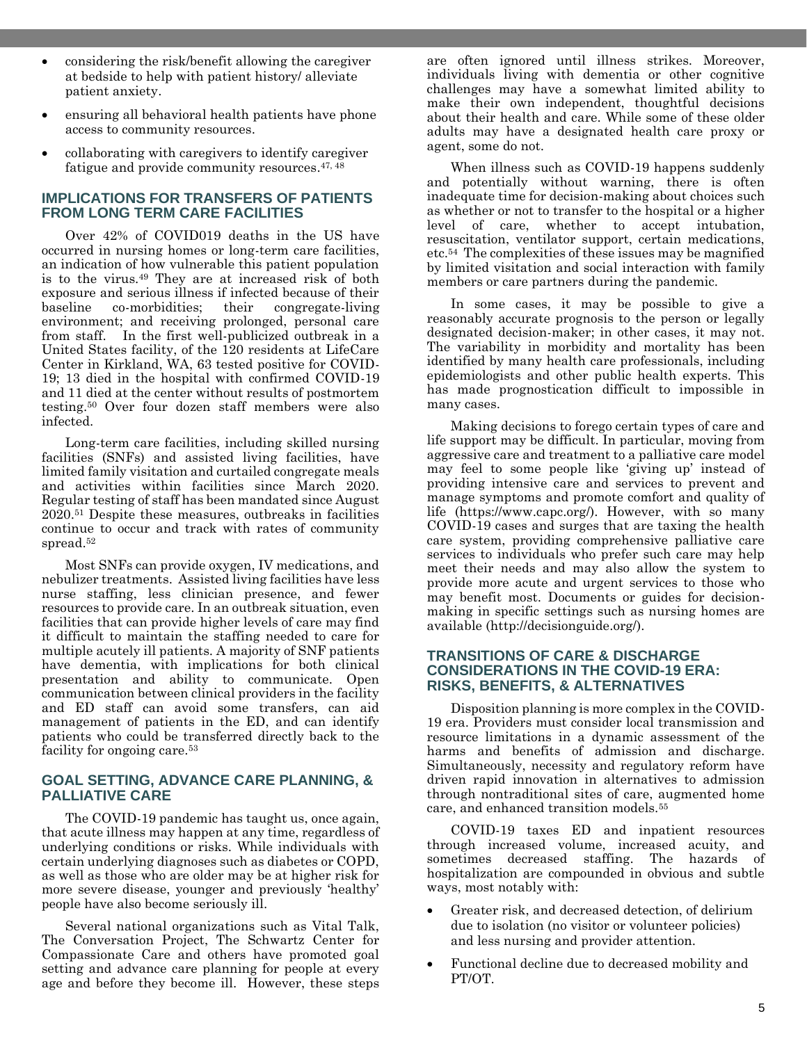- considering the risk/benefit allowing the caregiver at bedside to help with patient history/ alleviate patient anxiety.
- ensuring all behavioral health patients have phone access to community resources.
- collaborating with caregivers to identify caregiver fatigue and provide community resources.<sup>47, 48</sup>

#### **IMPLICATIONS FOR TRANSFERS OF PATIENTS FROM LONG TERM CARE FACILITIES**

Over 42% of COVID019 deaths in the US have occurred in nursing homes or long-term care facilities, an indication of how vulnerable this patient population is to the virus.<sup>49</sup> They are at increased risk of both exposure and serious illness if infected because of their baseline co-morbidities; their congregate-living environment; and receiving prolonged, personal care from staff. In the first well-publicized outbreak in a United States facility, of the 120 residents at LifeCare Center in Kirkland, WA, 63 tested positive for COVID-19; 13 died in the hospital with confirmed COVID-19 and 11 died at the center without results of postmortem testing.<sup>50</sup> Over four dozen staff members were also infected.

Long-term care facilities, including skilled nursing facilities (SNFs) and assisted living facilities, have limited family visitation and curtailed congregate meals and activities within facilities since March 2020. Regular testing of staff has been mandated since August 2020.<sup>51</sup> Despite these measures, outbreaks in facilities continue to occur and track with rates of community spread.<sup>52</sup>

Most SNFs can provide oxygen, IV medications, and nebulizer treatments. Assisted living facilities have less nurse staffing, less clinician presence, and fewer resources to provide care. In an outbreak situation, even facilities that can provide higher levels of care may find it difficult to maintain the staffing needed to care for multiple acutely ill patients. A majority of SNF patients have dementia, with implications for both clinical presentation and ability to communicate. Open communication between clinical providers in the facility and ED staff can avoid some transfers, can aid management of patients in the ED, and can identify patients who could be transferred directly back to the facility for ongoing care.<sup>53</sup>

#### **GOAL SETTING, ADVANCE CARE PLANNING, & PALLIATIVE CARE**

The COVID-19 pandemic has taught us, once again, that acute illness may happen at any time, regardless of underlying conditions or risks. While individuals with certain underlying diagnoses such as diabetes or COPD, as well as those who are older may be at higher risk for more severe disease, younger and previously 'healthy' people have also become seriously ill.

Several national organizations such as Vital Talk, The Conversation Project, The Schwartz Center for Compassionate Care and others have promoted goal setting and advance care planning for people at every age and before they become ill. However, these steps

are often ignored until illness strikes. Moreover, individuals living with dementia or other cognitive challenges may have a somewhat limited ability to make their own independent, thoughtful decisions about their health and care. While some of these older adults may have a designated health care proxy or agent, some do not.

When illness such as COVID-19 happens suddenly and potentially without warning, there is often inadequate time for decision-making about choices such as whether or not to transfer to the hospital or a higher level of care, whether to accept intubation, resuscitation, ventilator support, certain medications, etc.<sup>54</sup> The complexities of these issues may be magnified by limited visitation and social interaction with family members or care partners during the pandemic.

In some cases, it may be possible to give a reasonably accurate prognosis to the person or legally designated decision-maker; in other cases, it may not. The variability in morbidity and mortality has been identified by many health care professionals, including epidemiologists and other public health experts. This has made prognostication difficult to impossible in many cases.

Making decisions to forego certain types of care and life support may be difficult. In particular, moving from aggressive care and treatment to a palliative care model may feel to some people like 'giving up' instead of providing intensive care and services to prevent and manage symptoms and promote comfort and quality of life (https://www.capc.org/). However, with so many COVID-19 cases and surges that are taxing the health care system, providing comprehensive palliative care services to individuals who prefer such care may help meet their needs and may also allow the system to provide more acute and urgent services to those who may benefit most. Documents or guides for decisionmaking in specific settings such as nursing homes are available (http://decisionguide.org/).

#### **TRANSITIONS OF CARE & DISCHARGE CONSIDERATIONS IN THE COVID-19 ERA: RISKS, BENEFITS, & ALTERNATIVES**

Disposition planning is more complex in the COVID-19 era. Providers must consider local transmission and resource limitations in a dynamic assessment of the harms and benefits of admission and discharge. Simultaneously, necessity and regulatory reform have driven rapid innovation in alternatives to admission through nontraditional sites of care, augmented home care, and enhanced transition models.<sup>55</sup>

COVID-19 taxes ED and inpatient resources through increased volume, increased acuity, and sometimes decreased staffing. The hazards of hospitalization are compounded in obvious and subtle ways, most notably with:

- Greater risk, and decreased detection, of delirium due to isolation (no visitor or volunteer policies) and less nursing and provider attention.
- Functional decline due to decreased mobility and PT/OT.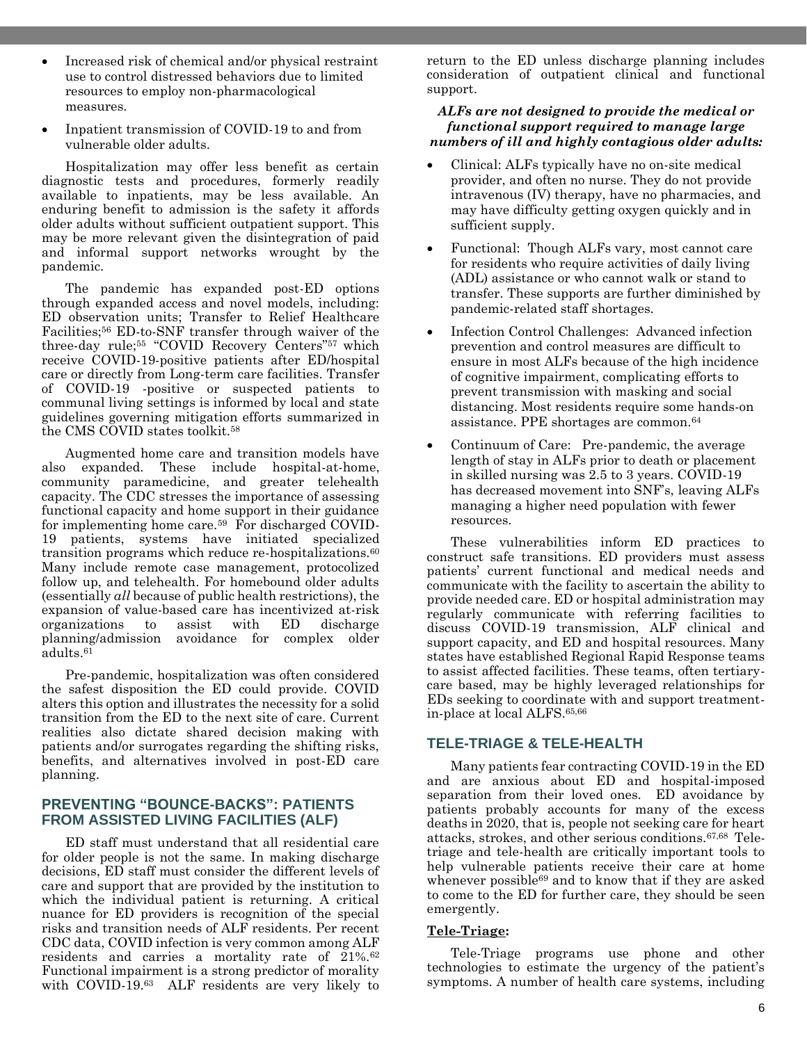- Increased risk of chemical and/or physical restraint use to control distressed behaviors due to limited resources to employ non-pharmacological measures.
- Inpatient transmission of COVID-19 to and from vulnerable older adults.

Hospitalization may offer less benefit as certain diagnostic tests and procedures, formerly readily available to inpatients, may be less available. An enduring benefit to admission is the safety it affords older adults without sufficient outpatient support. This may be more relevant given the disintegration of paid and informal support networks wrought by the pandemic.

The pandemic has expanded post-ED options through expanded access and novel models, including: ED observation units; Transfer to Relief Healthcare Facilities; <sup>56</sup> ED-to-SNF transfer through waiver of the three-day rule; <sup>55</sup> "COVID Recovery Centers" <sup>57</sup> which receive COVID-19-positive patients after ED/hospital care or directly from Long-term care facilities. Transfer of COVID-19 -positive or suspected patients to communal living settings is informed by local and state guidelines governing mitigation efforts summarized in the CMS COVID states toolkit.<sup>58</sup>

Augmented home care and transition models have also expanded. These include hospital-at-home, community paramedicine, and greater telehealth capacity. The CDC stresses the importance of assessing functional capacity and home support in their guidance for implementing home care.59 For discharged COVID-19 patients, systems have initiated specialized transition programs which reduce re-hospitalizations.<sup>60</sup> Many include remote case management, protocolized follow up, and telehealth. For homebound older adults (essentially *all* because of public health restrictions), the expansion of value-based care has incentivized at-risk organizations to assist with ED discharge planning/admission avoidance for complex older adults. 61

Pre-pandemic, hospitalization was often considered the safest disposition the ED could provide. COVID alters this option and illustrates the necessity for a solid transition from the ED to the next site of care. Current realities also dictate shared decision making with patients and/or surrogates regarding the shifting risks, benefits, and alternatives involved in post-ED care planning.

#### **PREVENTING "BOUNCE-BACKS": PATIENTS FROM ASSISTED LIVING FACILITIES (ALF)**

ED staff must understand that all residential care for older people is not the same. In making discharge decisions, ED staff must consider the different levels of care and support that are provided by the institution to which the individual patient is returning. A critical nuance for ED providers is recognition of the special risks and transition needs of ALF residents. Per recent CDC data, COVID infection is very common among ALF residents and carries a mortality rate of 21%.<sup>62</sup> Functional impairment is a strong predictor of morality with COVID-19.63 ALF residents are very likely to return to the ED unless discharge planning includes consideration of outpatient clinical and functional support.

#### *ALFs are not designed to provide the medical or functional support required to manage large numbers of ill and highly contagious older adults:*

- Clinical: ALFs typically have no on-site medical provider, and often no nurse. They do not provide intravenous (IV) therapy, have no pharmacies, and may have difficulty getting oxygen quickly and in sufficient supply.
- Functional: Though ALFs vary, most cannot care for residents who require activities of daily living (ADL) assistance or who cannot walk or stand to transfer. These supports are further diminished by pandemic-related staff shortages.
- Infection Control Challenges: Advanced infection prevention and control measures are difficult to ensure in most ALFs because of the high incidence of cognitive impairment, complicating efforts to prevent transmission with masking and social distancing. Most residents require some hands-on assistance. PPE shortages are common.<sup>64</sup>
- Continuum of Care: Pre-pandemic, the average length of stay in ALFs prior to death or placement in skilled nursing was 2.5 to 3 years. COVID-19 has decreased movement into SNF's, leaving ALFs managing a higher need population with fewer resources.

These vulnerabilities inform ED practices to construct safe transitions. ED providers must assess patients' current functional and medical needs and communicate with the facility to ascertain the ability to provide needed care. ED or hospital administration may regularly communicate with referring facilities to discuss COVID-19 transmission, ALF clinical and support capacity, and ED and hospital resources. Many states have established Regional Rapid Response teams to assist affected facilities. These teams, often tertiarycare based, may be highly leveraged relationships for EDs seeking to coordinate with and support treatmentin-place at local ALFS. 65,66

# **TELE-TRIAGE & TELE-HEALTH**

Many patients fear contracting COVID-19 in the ED and are anxious about ED and hospital-imposed separation from their loved ones. ED avoidance by patients probably accounts for many of the excess deaths in 2020, that is, people not seeking care for heart attacks, strokes, and other serious conditions.67,68 Teletriage and tele-health are critically important tools to help vulnerable patients receive their care at home whenever possible<sup>69</sup> and to know that if they are asked to come to the ED for further care, they should be seen emergently.

#### **Tele-Triage:**

Tele-Triage programs use phone and other technologies to estimate the urgency of the patient's symptoms. A number of health care systems, including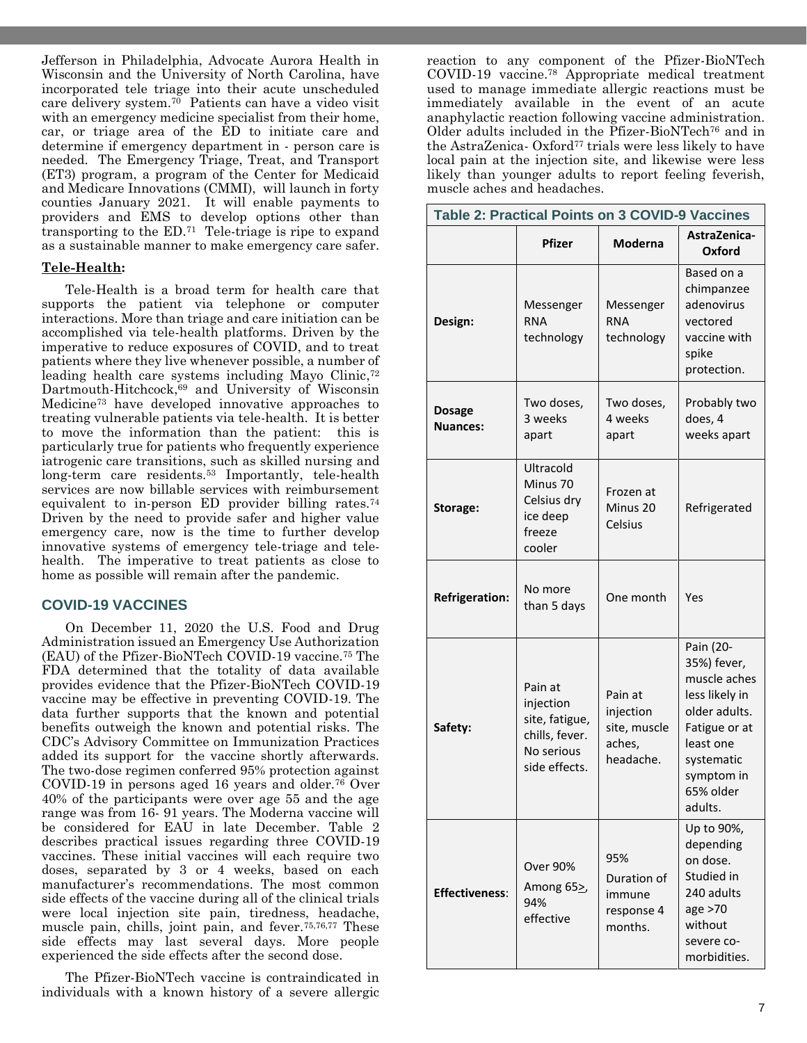Jefferson in Philadelphia, Advocate Aurora Health in Wisconsin and the University of North Carolina, have incorporated tele triage into their acute unscheduled care delivery system.70 Patients can have a video visit with an emergency medicine specialist from their home, car, or triage area of the ED to initiate care and determine if emergency department in - person care is needed. The Emergency Triage, Treat, and Transport (ET3) program, a program of the Center for Medicaid and Medicare Innovations (CMMI), will launch in forty counties January 2021. It will enable payments to providers and EMS to develop options other than transporting to the ED.<sup>71</sup> Tele-triage is ripe to expand as a sustainable manner to make emergency care safer.

#### **Tele-Health:**

Tele-Health is a broad term for health care that supports the patient via telephone or computer interactions. More than triage and care initiation can be accomplished via tele-health platforms. Driven by the imperative to reduce exposures of COVID, and to treat patients where they live whenever possible, a number of leading health care systems including Mayo Clinic, 72 Dartmouth-Hitchcock,<sup>69</sup> and University of Wisconsin Medicine<sup>73</sup> have developed innovative approaches to treating vulnerable patients via tele-health. It is better to move the information than the patient: this is particularly true for patients who frequently experience iatrogenic care transitions, such as skilled nursing and long-term care residents.<sup>53</sup> Importantly, tele-health services are now billable services with reimbursement equivalent to in-person ED provider billing rates.<sup>74</sup> Driven by the need to provide safer and higher value emergency care, now is the time to further develop innovative systems of emergency tele-triage and telehealth. The imperative to treat patients as close to home as possible will remain after the pandemic.

#### **COVID-19 VACCINES**

On December 11, 2020 the U.S. Food and Drug Administration issued an Emergency Use Authorization (EAU) of the Pfizer-BioNTech COVID-19 vaccine.<sup>75</sup> The FDA determined that the totality of data available provides evidence that the Pfizer-BioNTech COVID-19 vaccine may be effective in preventing COVID-19. The data further supports that the known and potential benefits outweigh the known and potential risks. The CDC's Advisory Committee on Immunization Practices added its support for the vaccine shortly afterwards. The two-dose regimen conferred 95% protection against COVID-19 in persons aged 16 years and older.<sup>76</sup> Over 40% of the participants were over age 55 and the age range was from 16- 91 years. The Moderna vaccine will be considered for EAU in late December. Table 2 describes practical issues regarding three COVID-19 vaccines. These initial vaccines will each require two doses, separated by 3 or 4 weeks, based on each manufacturer's recommendations. The most common side effects of the vaccine during all of the clinical trials were local injection site pain, tiredness, headache, muscle pain, chills, joint pain, and fever.75,76,77 These side effects may last several days. More people experienced the side effects after the second dose.

The Pfizer-BioNTech vaccine is contraindicated in individuals with a known history of a severe allergic reaction to any component of the Pfizer-BioNTech COVID-19 vaccine.<sup>78</sup> Appropriate medical treatment used to manage immediate allergic reactions must be immediately available in the event of an acute anaphylactic reaction following vaccine administration. Older adults included in the Pfizer-BioNTech<sup>76</sup> and in the AstraZenica- Oxford<sup>77</sup> trials were less likely to have local pain at the injection site, and likewise were less likely than younger adults to report feeling feverish, muscle aches and headaches.

| Table 2: Practical Points on 3 COVID-9 Vaccines |                                                                                         |                                                             |                                                                                                                                                               |  |  |
|-------------------------------------------------|-----------------------------------------------------------------------------------------|-------------------------------------------------------------|---------------------------------------------------------------------------------------------------------------------------------------------------------------|--|--|
|                                                 | Pfizer                                                                                  | <b>Moderna</b>                                              | AstraZenica-<br>Oxford                                                                                                                                        |  |  |
| Design:                                         | Messenger<br><b>RNA</b><br>technology                                                   | Messenger<br><b>RNA</b><br>technology                       | Based on a<br>chimpanzee<br>adenovirus<br>vectored<br>vaccine with<br>spike<br>protection.                                                                    |  |  |
| <b>Dosage</b><br><b>Nuances:</b>                | Two doses,<br>3 weeks<br>apart                                                          | Two doses,<br>4 weeks<br>apart                              | Probably two<br>does, 4<br>weeks apart                                                                                                                        |  |  |
| Storage:                                        | Ultracold<br>Minus 70<br>Celsius dry<br>ice deep<br>freeze<br>cooler                    | Frozen at<br>Minus 20<br>Celsius                            | Refrigerated                                                                                                                                                  |  |  |
| <b>Refrigeration:</b>                           | No more<br>than 5 days                                                                  | One month                                                   | Yes                                                                                                                                                           |  |  |
| Safety:                                         | Pain at<br>injection<br>site, fatigue,<br>chills, fever.<br>No serious<br>side effects. | Pain at<br>injection<br>site, muscle<br>aches,<br>headache. | Pain (20-<br>35%) fever,<br>muscle aches<br>less likely in<br>older adults.<br>Fatigue or at<br>least one<br>systematic<br>symptom in<br>65% older<br>adults. |  |  |
| <b>Effectiveness:</b>                           | <b>Over 90%</b><br>Among $652$<br>94%<br>effective                                      | 95%<br>Duration of<br>immune<br>response 4<br>months.       | Up to 90%,<br>depending<br>on dose.<br>Studied in<br>240 adults<br>age >70<br>without<br>severe co-<br>morbidities.                                           |  |  |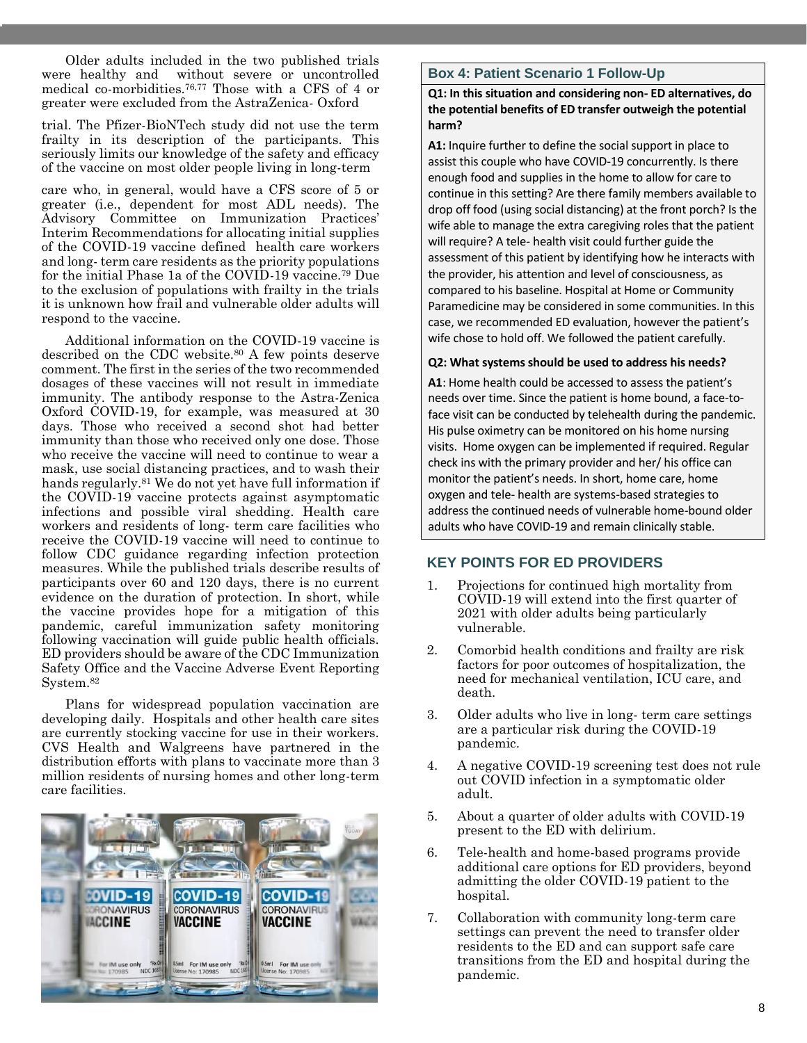Older adults included in the two published trials were healthy and without severe or uncontrolled medical co-morbidities. 76,77 Those with a CFS of 4 or greater were excluded from the AstraZenica- Oxford

trial. The Pfizer-BioNTech study did not use the term frailty in its description of the participants. This seriously limits our knowledge of the safety and efficacy of the vaccine on most older people living in long-term

care who, in general, would have a CFS score of 5 or greater (i.e., dependent for most ADL needs). The Advisory Committee on Immunization Practices' Interim Recommendations for allocating initial supplies of the COVID-19 vaccine defined health care workers and long- term care residents as the priority populations for the initial Phase 1a of the COVID-19 vaccine.<sup>79</sup> Due to the exclusion of populations with frailty in the trials it is unknown how frail and vulnerable older adults will respond to the vaccine.

Additional information on the COVID-19 vaccine is described on the CDC website.<sup>80</sup> A few points deserve comment. The first in the series of the two recommended dosages of these vaccines will not result in immediate immunity. The antibody response to the Astra-Zenica Oxford COVID-19, for example, was measured at 30 days. Those who received a second shot had better immunity than those who received only one dose. Those who receive the vaccine will need to continue to wear a mask, use social distancing practices, and to wash their hands regularly.<sup>81</sup> We do not yet have full information if the COVID-19 vaccine protects against asymptomatic infections and possible viral shedding. Health care workers and residents of long- term care facilities who receive the COVID-19 vaccine will need to continue to follow CDC guidance regarding infection protection measures. While the published trials describe results of participants over 60 and 120 days, there is no current evidence on the duration of protection. In short, while the vaccine provides hope for a mitigation of this pandemic, careful immunization safety monitoring following vaccination will guide public health officials. ED providers should be aware of the CDC Immunization Safety Office and the Vaccine Adverse Event Reporting System.<sup>82</sup>

Plans for widespread population vaccination are developing daily. Hospitals and other health care sites are currently stocking vaccine for use in their workers. CVS Health and Walgreens have partnered in the distribution efforts with plans to vaccinate more than 3 million residents of nursing homes and other long-term care facilities.



#### **Box 4: Patient Scenario 1 Follow-Up**

**Q1: In this situation and considering non- ED alternatives, do the potential benefits of ED transfer outweigh the potential harm?** 

**A1:** Inquire further to define the social support in place to assist this couple who have COVID-19 concurrently. Is there enough food and supplies in the home to allow for care to continue in this setting? Are there family members available to drop off food (using social distancing) at the front porch? Is the wife able to manage the extra caregiving roles that the patient will require? A tele- health visit could further guide the assessment of this patient by identifying how he interacts with the provider, his attention and level of consciousness, as compared to his baseline. Hospital at Home or Community Paramedicine may be considered in some communities. In this case, we recommended ED evaluation, however the patient's wife chose to hold off. We followed the patient carefully.

#### **Q2: What systems should be used to address his needs?**

**A1**: Home health could be accessed to assess the patient's needs over time. Since the patient is home bound, a face-toface visit can be conducted by telehealth during the pandemic. His pulse oximetry can be monitored on his home nursing visits. Home oxygen can be implemented if required. Regular check ins with the primary provider and her/ his office can monitor the patient's needs. In short, home care, home oxygen and tele- health are systems-based strategies to address the continued needs of vulnerable home-bound older adults who have COVID-19 and remain clinically stable.

#### **KEY POINTS FOR ED PROVIDERS**

- 1. Projections for continued high mortality from COVID-19 will extend into the first quarter of 2021 with older adults being particularly vulnerable.
- 2. Comorbid health conditions and frailty are risk factors for poor outcomes of hospitalization, the need for mechanical ventilation, ICU care, and death.
- 3. Older adults who live in long- term care settings are a particular risk during the COVID-19 pandemic.
- 4. A negative COVID-19 screening test does not rule out COVID infection in a symptomatic older adult.
- 5. About a quarter of older adults with COVID-19 present to the ED with delirium.
- 6. Tele-health and home-based programs provide additional care options for ED providers, beyond admitting the older COVID-19 patient to the hospital.
- 7. Collaboration with community long-term care settings can prevent the need to transfer older residents to the ED and can support safe care transitions from the ED and hospital during the pandemic.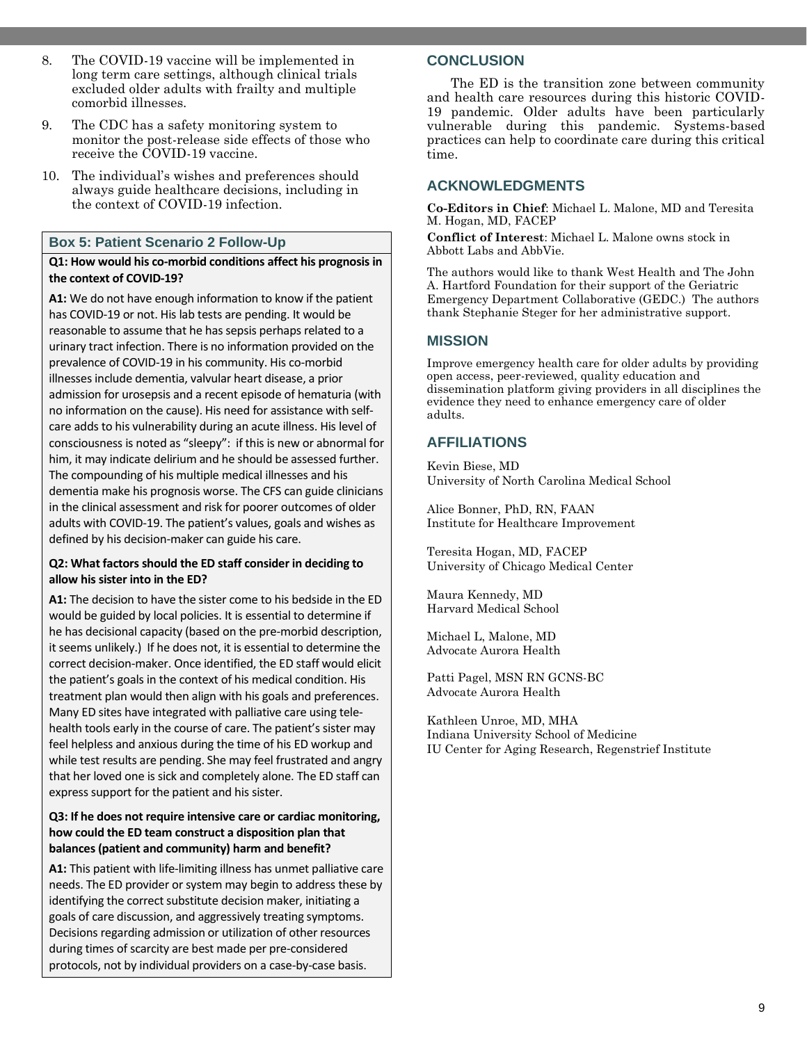- 8. The COVID-19 vaccine will be implemented in long term care settings, although clinical trials excluded older adults with frailty and multiple comorbid illnesses.
- 9. The CDC has a safety monitoring system to monitor the post-release side effects of those who receive the COVID-19 vaccine.
- 10. The individual's wishes and preferences should always guide healthcare decisions, including in the context of COVID-19 infection.

# **Box 5: Patient Scenario 2 Follow-Up**

#### **Q1: How would his co-morbid conditions affect his prognosis in the context of COVID-19?**

**A1:** We do not have enough information to know if the patient has COVID-19 or not. His lab tests are pending. It would be reasonable to assume that he has sepsis perhaps related to a urinary tract infection. There is no information provided on the prevalence of COVID-19 in his community. His co-morbid illnesses include dementia, valvular heart disease, a prior admission for urosepsis and a recent episode of hematuria (with no information on the cause). His need for assistance with selfcare adds to his vulnerability during an acute illness. His level of consciousness is noted as "sleepy": if this is new or abnormal for him, it may indicate delirium and he should be assessed further. The compounding of his multiple medical illnesses and his dementia make his prognosis worse. The CFS can guide clinicians in the clinical assessment and risk for poorer outcomes of older adults with COVID-19. The patient's values, goals and wishes as defined by his decision-maker can guide his care.

#### **Q2: What factors should the ED staff consider in deciding to allow his sister into in the ED?**

**A1:** The decision to have the sister come to his bedside in the ED would be guided by local policies. It is essential to determine if he has decisional capacity (based on the pre-morbid description, it seems unlikely.) If he does not, it is essential to determine the correct decision-maker. Once identified, the ED staff would elicit the patient's goals in the context of his medical condition. His treatment plan would then align with his goals and preferences. Many ED sites have integrated with palliative care using telehealth tools early in the course of care. The patient's sister may feel helpless and anxious during the time of his ED workup and while test results are pending. She may feel frustrated and angry that her loved one is sick and completely alone. The ED staff can express support for the patient and his sister.

#### **Q3: If he does not require intensive care or cardiac monitoring, how could the ED team construct a disposition plan that balances (patient and community) harm and benefit?**

**A1:** This patient with life-limiting illness has unmet palliative care needs. The ED provider or system may begin to address these by identifying the correct substitute decision maker, initiating a goals of care discussion, and aggressively treating symptoms. Decisions regarding admission or utilization of other resources during times of scarcity are best made per pre-considered protocols, not by individual providers on a case-by-case basis.

# **CONCLUSION**

The ED is the transition zone between community and health care resources during this historic COVID-19 pandemic. Older adults have been particularly vulnerable during this pandemic. Systems-based practices can help to coordinate care during this critical time.

# **ACKNOWLEDGMENTS**

**Co-Editors in Chief**: Michael L. Malone, MD and Teresita M. Hogan, MD, FACEP

**Conflict of Interest**: Michael L. Malone owns stock in Abbott Labs and AbbVie.

The authors would like to thank West Health and The John A. Hartford Foundation for their support of the Geriatric Emergency Department Collaborative (GEDC.) The authors thank Stephanie Steger for her administrative support.

# **MISSION**

Improve emergency health care for older adults by providing open access, peer-reviewed, quality education and dissemination platform giving providers in all disciplines the evidence they need to enhance emergency care of older adults.

# **AFFILIATIONS**

Kevin Biese, MD University of North Carolina Medical School

Alice Bonner, PhD, RN, FAAN Institute for Healthcare Improvement

Teresita Hogan, MD, FACEP University of Chicago Medical Center

Maura Kennedy, MD Harvard Medical School

Michael L, Malone, MD Advocate Aurora Health

Patti Pagel, MSN RN GCNS-BC Advocate Aurora Health

Kathleen Unroe, MD, MHA Indiana University School of Medicine IU Center for Aging Research, Regenstrief Institute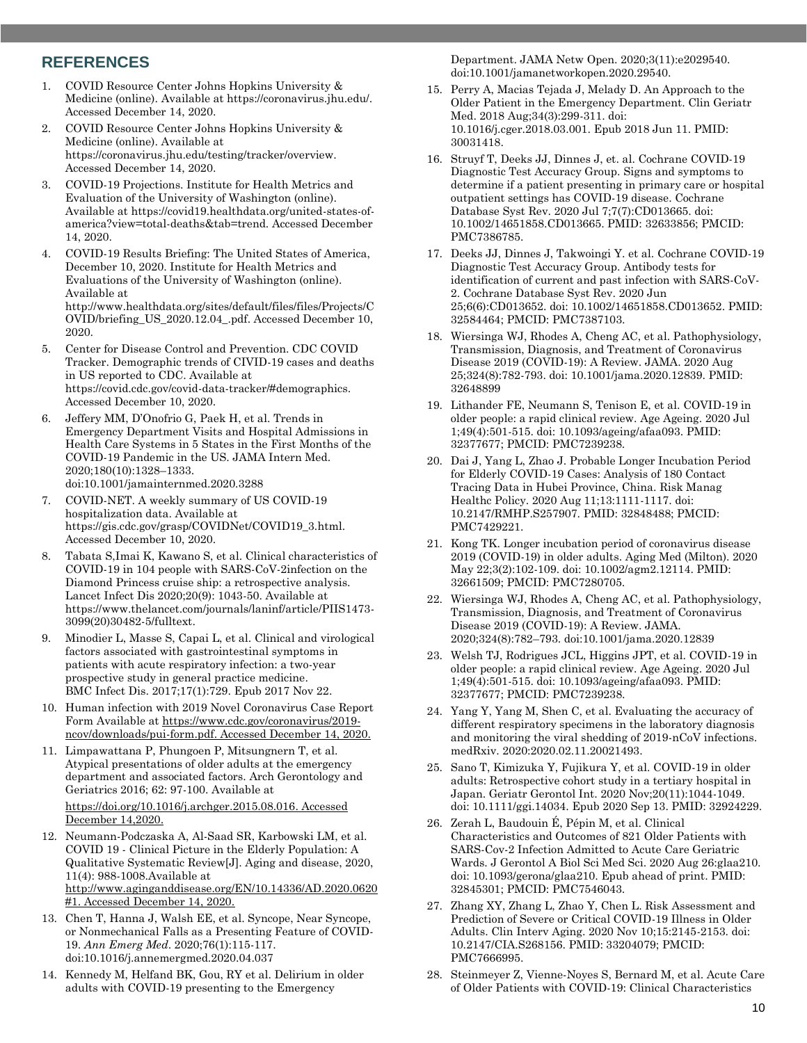### **REFERENCES**

- 1. COVID Resource Center Johns Hopkins University & Medicine (online). Available at https://coronavirus.jhu.edu/. Accessed December 14, 2020.
- 2. COVID Resource Center Johns Hopkins University & Medicine (online). Available at https://coronavirus.jhu.edu/testing/tracker/overview. Accessed December 14, 2020.
- 3. COVID-19 Projections. Institute for Health Metrics and Evaluation of the University of Washington (online). Available at https://covid19.healthdata.org/united-states-ofamerica?view=total-deaths&tab=trend. Accessed December 14, 2020.
- 4. COVID-19 Results Briefing: The United States of America, December 10, 2020. Institute for Health Metrics and Evaluations of the University of Washington (online). Available at http://www.healthdata.org/sites/default/files/files/Projects/C OVID/briefing\_US\_2020.12.04\_.pdf. Accessed December 10, 2020.
- 5. Center for Disease Control and Prevention. CDC COVID Tracker. Demographic trends of CIVID-19 cases and deaths in US reported to CDC. Available at https://covid.cdc.gov/covid-data-tracker/#demographics. Accessed December 10, 2020.
- 6. Jeffery MM, D'Onofrio G, Paek H, et al. Trends in Emergency Department Visits and Hospital Admissions in Health Care Systems in 5 States in the First Months of the COVID-19 Pandemic in the US. JAMA Intern Med. 2020;180(10):1328–1333. doi:10.1001/jamainternmed.2020.3288
- 7. COVID-NET. A weekly summary of US COVID-19 hospitalization data. Available at https://gis.cdc.gov/grasp/COVIDNet/COVID19\_3.html. Accessed December 10, 2020.
- 8. Tabata S,Imai K, Kawano S, et al. Clinical characteristics of COVID-19 in 104 people with SARS-CoV-2infection on the Diamond Princess cruise ship: a retrospective analysis. Lancet Infect Dis 2020;20(9): 1043-50. Available at https://www.thelancet.com/journals/laninf/article/PIIS1473- 3099(20)30482-5/fulltext.
- 9. Minodier L, Masse S, Capai L, et al. Clinical and virological factors associated with gastrointestinal symptoms in patients with acute respiratory infection: a two-year prospective study in general practice medicine. BMC Infect Dis. 2017;17(1):729. Epub 2017 Nov 22.
- 10. Human infection with 2019 Novel Coronavirus Case Report Form Available at [https://www.cdc.gov/coronavirus/2019](https://www.cdc.gov/coronavirus/2019-ncov/downloads/pui-form.pdf) [ncov/downloads/pui-form.pdf.](https://www.cdc.gov/coronavirus/2019-ncov/downloads/pui-form.pdf) Accessed December 14, 2020.
- 11. Limpawattana P, Phungoen P, Mitsungnern T, et al. Atypical presentations of older adults at the emergency department and associated factors. Arch Gerontology and Geriatrics 2016; 62: 97-100. Available at [https://doi.org/10.1016/j.archger.2015.08.016.](https://doi.org/10.1016/j.archger.2015.08.016) Accessed December 14,2020.
- 12. Neumann-Podczaska A, Al-Saad SR, Karbowski LM, et al. COVID 19 - Clinical Picture in the Elderly Population: A Qualitative Systematic Review[J]. Aging and disease, 2020, 11(4): 988-1008.Available at [http://www.aginganddisease.org/EN/10.14336/AD.2020.0620](http://www.aginganddisease.org/EN/10.14336/AD.2020.0620#1) [#1.](http://www.aginganddisease.org/EN/10.14336/AD.2020.0620#1) Accessed December 14, 2020.
- 13. Chen T, Hanna J, Walsh EE, et al. Syncope, Near Syncope, or Nonmechanical Falls as a Presenting Feature of COVID-19. *Ann Emerg Med*. 2020;76(1):115-117. doi:10.1016/j.annemergmed.2020.04.037
- 14. Kennedy M, Helfand BK, Gou, RY et al. Delirium in older adults with COVID-19 presenting to the Emergency

Department. JAMA Netw Open. 2020;3(11):e2029540. doi:10.1001/jamanetworkopen.2020.29540.

- 15. Perry A, Macias Tejada J, Melady D. An Approach to the Older Patient in the Emergency Department. Clin Geriatr Med. 2018 Aug;34(3):299-311. doi: 10.1016/j.cger.2018.03.001. Epub 2018 Jun 11. PMID: 30031418.
- 16. Struyf T, Deeks JJ, Dinnes J, et. al. Cochrane COVID-19 Diagnostic Test Accuracy Group. Signs and symptoms to determine if a patient presenting in primary care or hospital outpatient settings has COVID-19 disease. Cochrane Database Syst Rev. 2020 Jul 7;7(7):CD013665. doi: 10.1002/14651858.CD013665. PMID: 32633856; PMCID: PMC7386785.
- 17. Deeks JJ, Dinnes J, Takwoingi Y. et al. Cochrane COVID-19 Diagnostic Test Accuracy Group. Antibody tests for identification of current and past infection with SARS-CoV-2. Cochrane Database Syst Rev. 2020 Jun 25;6(6):CD013652. doi: 10.1002/14651858.CD013652. PMID: 32584464; PMCID: PMC7387103.
- 18. Wiersinga WJ, Rhodes A, Cheng AC, et al. Pathophysiology, Transmission, Diagnosis, and Treatment of Coronavirus Disease 2019 (COVID-19): A Review. JAMA. 2020 Aug 25;324(8):782-793. doi: 10.1001/jama.2020.12839. PMID: 32648899
- 19. Lithander FE, Neumann S, Tenison E, et al. COVID-19 in older people: a rapid clinical review. Age Ageing. 2020 Jul 1;49(4):501-515. doi: 10.1093/ageing/afaa093. PMID: 32377677; PMCID: PMC7239238.
- 20. Dai J, Yang L, Zhao J. Probable Longer Incubation Period for Elderly COVID-19 Cases: Analysis of 180 Contact Tracing Data in Hubei Province, China. Risk Manag Healthc Policy. 2020 Aug 11;13:1111-1117. doi: 10.2147/RMHP.S257907. PMID: 32848488; PMCID: PMC7429221.
- 21. Kong TK. Longer incubation period of coronavirus disease 2019 (COVID-19) in older adults. Aging Med (Milton). 2020 May 22;3(2):102-109. doi: 10.1002/agm2.12114. PMID: 32661509; PMCID: PMC7280705.
- 22. Wiersinga WJ, Rhodes A, Cheng AC, et al. Pathophysiology, Transmission, Diagnosis, and Treatment of Coronavirus Disease 2019 (COVID-19): A Review. JAMA. 2020;324(8):782–793. doi:10.1001/jama.2020.12839
- 23. Welsh TJ, Rodrigues JCL, Higgins JPT, et al. COVID-19 in older people: a rapid clinical review. Age Ageing. 2020 Jul 1;49(4):501-515. doi: 10.1093/ageing/afaa093. PMID: 32377677; PMCID: PMC7239238.
- 24. Yang Y, Yang M, Shen C, et al. Evaluating the accuracy of different respiratory specimens in the laboratory diagnosis and monitoring the viral shedding of 2019-nCoV infections. medRxiv. 2020:2020.02.11.20021493.
- 25. Sano T, Kimizuka Y, Fujikura Y, et al. COVID-19 in older adults: Retrospective cohort study in a tertiary hospital in Japan. Geriatr Gerontol Int. 2020 Nov;20(11):1044-1049. doi: 10.1111/ggi.14034. Epub 2020 Sep 13. PMID: 32924229.
- 26. Zerah L, Baudouin É, Pépin M, et al. Clinical Characteristics and Outcomes of 821 Older Patients with SARS-Cov-2 Infection Admitted to Acute Care Geriatric Wards. J Gerontol A Biol Sci Med Sci. 2020 Aug 26:glaa210. doi: 10.1093/gerona/glaa210. Epub ahead of print. PMID: 32845301; PMCID: PMC7546043.
- 27. Zhang XY, Zhang L, Zhao Y, Chen L. Risk Assessment and Prediction of Severe or Critical COVID-19 Illness in Older Adults. Clin Interv Aging. 2020 Nov 10;15:2145-2153. doi: 10.2147/CIA.S268156. PMID: 33204079; PMCID: PMC7666995.
- 28. Steinmeyer Z, Vienne-Noyes S, Bernard M, et al. Acute Care of Older Patients with COVID-19: Clinical Characteristics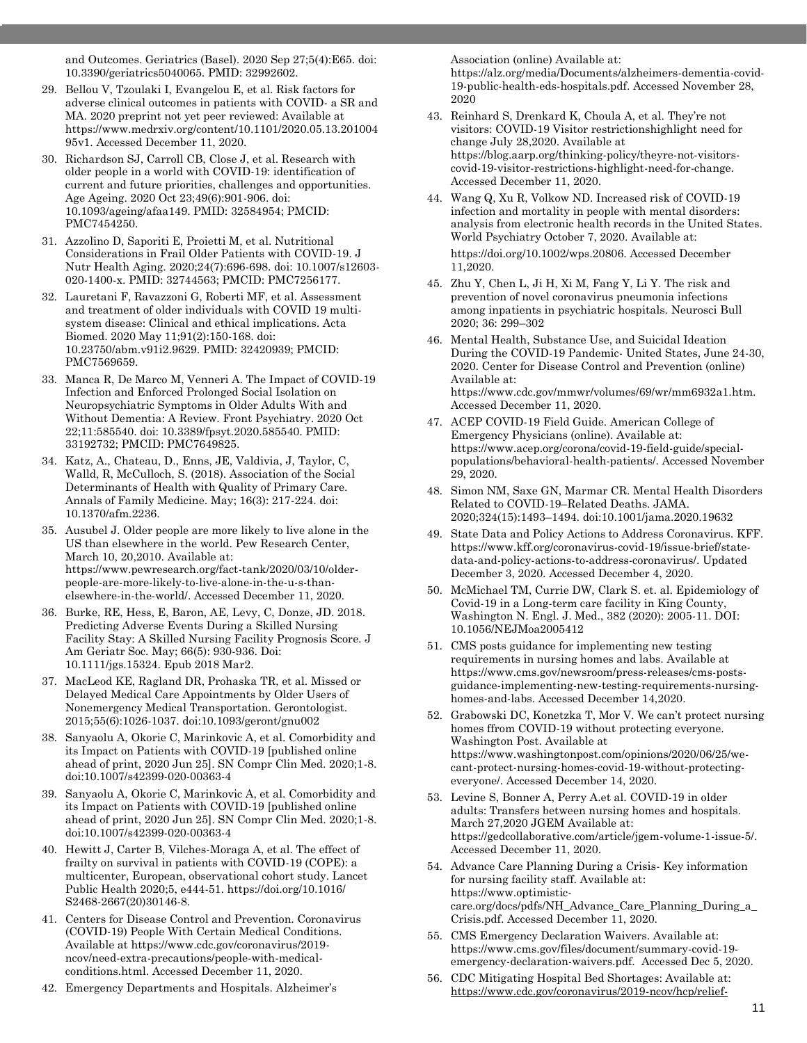and Outcomes. Geriatrics (Basel). 2020 Sep 27;5(4):E65. doi: 10.3390/geriatrics5040065. PMID: 32992602.

- 29. Bellou V, Tzoulaki I, Evangelou E, et al. Risk factors for adverse clinical outcomes in patients with COVID- a SR and MA. 2020 preprint not yet peer reviewed: Available at https://www.medrxiv.org/content/10.1101/2020.05.13.201004 95v1. Accessed December 11, 2020.
- 30. Richardson SJ, Carroll CB, Close J, et al. Research with older people in a world with COVID-19: identification of current and future priorities, challenges and opportunities. Age Ageing. 2020 Oct 23;49(6):901-906. doi: 10.1093/ageing/afaa149. PMID: 32584954; PMCID: PMC7454250.
- 31. Azzolino D, Saporiti E, Proietti M, et al. Nutritional Considerations in Frail Older Patients with COVID-19. J Nutr Health Aging. 2020;24(7):696-698. doi: 10.1007/s12603- 020-1400-x. PMID: 32744563; PMCID: PMC7256177.
- 32. Lauretani F, Ravazzoni G, Roberti MF, et al. Assessment and treatment of older individuals with COVID 19 multisystem disease: Clinical and ethical implications. Acta Biomed. 2020 May 11;91(2):150-168. doi: 10.23750/abm.v91i2.9629. PMID: 32420939; PMCID: PMC7569659.
- 33. Manca R, De Marco M, Venneri A. The Impact of COVID-19 Infection and Enforced Prolonged Social Isolation on Neuropsychiatric Symptoms in Older Adults With and Without Dementia: A Review. Front Psychiatry. 2020 Oct 22;11:585540. doi: 10.3389/fpsyt.2020.585540. PMID: 33192732; PMCID: PMC7649825.
- 34. Katz, A., Chateau, D., Enns, JE, Valdivia, J, Taylor, C, Walld, R, McCulloch, S. (2018). Association of the Social Determinants of Health with Quality of Primary Care. Annals of Family Medicine. May; 16(3): 217-224. doi: 10.1370/afm.2236.
- 35. Ausubel J. Older people are more likely to live alone in the US than elsewhere in the world. Pew Research Center, March 10, 20,2010. Available at: https://www.pewresearch.org/fact-tank/2020/03/10/olderpeople-are-more-likely-to-live-alone-in-the-u-s-thanelsewhere-in-the-world/. Accessed December 11, 2020.
- 36. Burke, RE, Hess, E, Baron, AE, Levy, C, Donze, JD. 2018. Predicting Adverse Events During a Skilled Nursing Facility Stay: A Skilled Nursing Facility Prognosis Score. J Am Geriatr Soc. May; 66(5): 930-936. Doi: 10.1111/jgs.15324. Epub 2018 Mar2.
- 37. MacLeod KE, Ragland DR, Prohaska TR, et al. Missed or Delayed Medical Care Appointments by Older Users of Nonemergency Medical Transportation. Gerontologist. 2015;55(6):1026-1037. doi:10.1093/geront/gnu002
- 38. Sanyaolu A, Okorie C, Marinkovic A, et al. Comorbidity and its Impact on Patients with COVID-19 [published online ahead of print, 2020 Jun 25]. SN Compr Clin Med. 2020;1-8. doi:10.1007/s42399-020-00363-4
- 39. Sanyaolu A, Okorie C, Marinkovic A, et al. Comorbidity and its Impact on Patients with COVID-19 [published online ahead of print, 2020 Jun 25]. SN Compr Clin Med. 2020;1-8. doi:10.1007/s42399-020-00363-4
- 40. Hewitt J, Carter B, Vilches-Moraga A, et al. The effect of frailty on survival in patients with COVID-19 (COPE): a multicenter, European, observational cohort study. Lancet Public Health 2020;5, e444-51. https://doi.org/10.1016/ S2468-2667(20)30146-8.
- 41. Centers for Disease Control and Prevention. Coronavirus (COVID-19) People With Certain Medical Conditions. Available at https://www.cdc.gov/coronavirus/2019 ncov/need-extra-precautions/people-with-medicalconditions.html. Accessed December 11, 2020.
- 42. Emergency Departments and Hospitals. Alzheimer's

Association (online) Available at:

https://alz.org/media/Documents/alzheimers-dementia-covid-19-public-health-eds-hospitals.pdf. Accessed November 28, 2020

- 43. Reinhard S, Drenkard K, Choula A, et al. They're not visitors: COVID-19 Visitor restrictionshighlight need for change July 28,2020. Available at https://blog.aarp.org/thinking-policy/theyre-not-visitorscovid-19-visitor-restrictions-highlight-need-for-change. Accessed December 11, 2020.
- 44. Wang Q, Xu R, Volkow ND. Increased risk of COVID-19 infection and mortality in people with mental disorders: analysis from electronic health records in the United States. World Psychiatry October 7, 2020. Available at: https://doi.org/10.1002/wps.20806. Accessed December 11,2020.
- 45. Zhu Y, Chen L, Ji H, Xi M, Fang Y, Li Y. The risk and prevention of novel coronavirus pneumonia infections among inpatients in psychiatric hospitals. Neurosci Bull 2020; 36: 299–302
- 46. Mental Health, Substance Use, and Suicidal Ideation During the COVID-19 Pandemic- United States, June 24-30, 2020. Center for Disease Control and Prevention (online) Available at: https://www.cdc.gov/mmwr/volumes/69/wr/mm6932a1.htm. Accessed December 11, 2020.
- 47. ACEP COVID-19 Field Guide. American College of Emergency Physicians (online). Available at: https://www.acep.org/corona/covid-19-field-guide/specialpopulations/behavioral-health-patients/. Accessed November 29, 2020.
- 48. Simon NM, Saxe GN, Marmar CR. Mental Health Disorders Related to COVID-19–Related Deaths. JAMA. 2020;324(15):1493–1494. doi:10.1001/jama.2020.19632
- 49. State Data and Policy Actions to Address Coronavirus. KFF. https://www.kff.org/coronavirus-covid-19/issue-brief/statedata-and-policy-actions-to-address-coronavirus/. Updated December 3, 2020. Accessed December 4, 2020.
- 50. McMichael TM, Currie DW, Clark S. et. al. Epidemiology of Covid-19 in a Long-term care facility in King County, Washington N. Engl. J. Med., 382 (2020): 2005-11. DOI: 10.1056/NEJMoa2005412
- 51. CMS posts guidance for implementing new testing requirements in nursing homes and labs. Available at https://www.cms.gov/newsroom/press-releases/cms-postsguidance-implementing-new-testing-requirements-nursinghomes-and-labs. Accessed December 14,2020.
- 52. Grabowski DC, Konetzka T, Mor V. We can't protect nursing homes ffrom COVID-19 without protecting everyone. Washington Post. Available at https://www.washingtonpost.com/opinions/2020/06/25/wecant-protect-nursing-homes-covid-19-without-protectingeveryone/. Accessed December 14, 2020.
- 53. Levine S, Bonner A, Perry A.et al. COVID-19 in older adults: Transfers between nursing homes and hospitals. March 27,2020 JGEM Available at: https://gedcollaborative.com/article/jgem-volume-1-issue-5/. Accessed December 11, 2020.
- 54. Advance Care Planning During a Crisis- Key information for nursing facility staff. Available at: https://www.optimisticcare.org/docs/pdfs/NH\_Advance\_Care\_Planning\_During\_a\_ Crisis.pdf. Accessed December 11, 2020.
- 55. CMS Emergency Declaration Waivers. Available at: https://www.cms.gov/files/document/summary-covid-19 emergency-declaration-waivers.pdf. Accessed Dec 5, 2020.
- 56. CDC Mitigating Hospital Bed Shortages: Available at: [https://www.cdc.gov/coronavirus/2019-ncov/hcp/relief-](https://www.cdc.gov/coronavirus/2019-ncov/hcp/relief-healthcare-facilities.html.%20Accessed%20Dec%205%202020)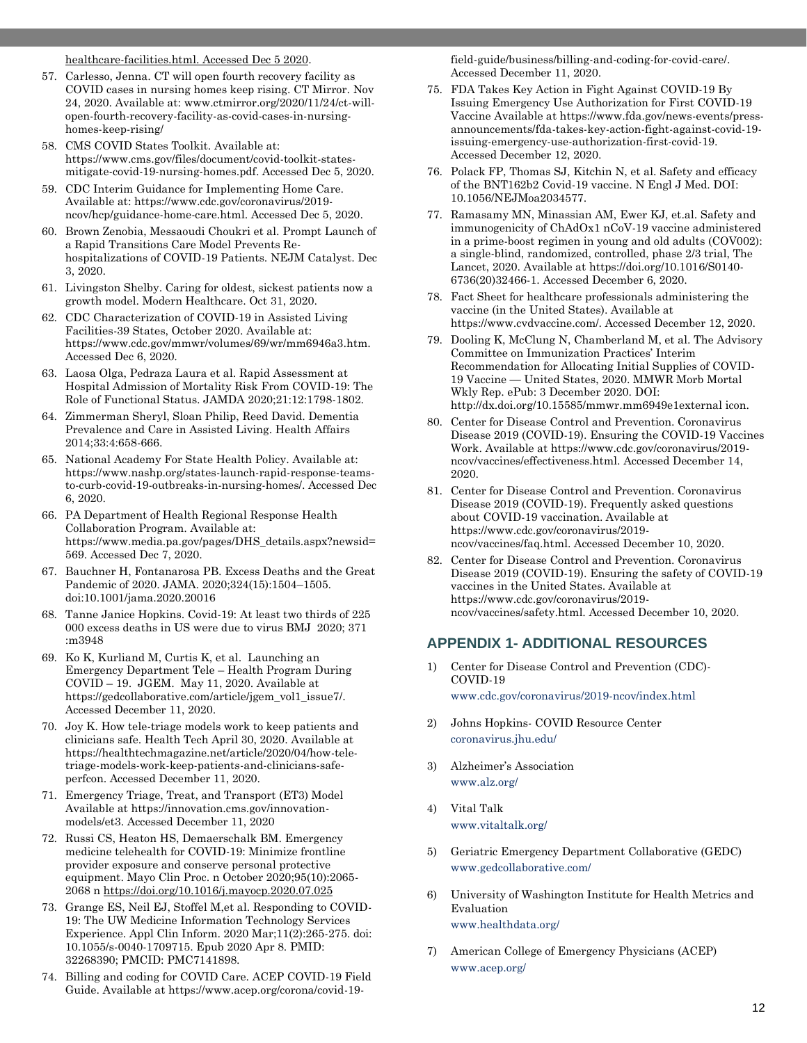[healthcare-facilities.html. Accessed Dec 5 2020.](https://www.cdc.gov/coronavirus/2019-ncov/hcp/relief-healthcare-facilities.html.%20Accessed%20Dec%205%202020)

- 57. Carlesso, Jenna. CT will open fourth recovery facility as COVID cases in nursing homes keep rising. CT Mirror. Nov 24, 2020. Available at: www.ctmirror.org/2020/11/24/ct-willopen-fourth-recovery-facility-as-covid-cases-in-nursinghomes-keep-rising/
- 58. CMS COVID States Toolkit. Available at: https://www.cms.gov/files/document/covid-toolkit-statesmitigate-covid-19-nursing-homes.pdf. Accessed Dec 5, 2020.
- 59. CDC Interim Guidance for Implementing Home Care. Available at: https://www.cdc.gov/coronavirus/2019 ncov/hcp/guidance-home-care.html. Accessed Dec 5, 2020.
- 60. Brown Zenobia, Messaoudi Choukri et al. Prompt Launch of a Rapid Transitions Care Model Prevents Rehospitalizations of COVID-19 Patients. NEJM Catalyst. Dec 3, 2020.
- 61. Livingston Shelby. Caring for oldest, sickest patients now a growth model. Modern Healthcare. Oct 31, 2020.
- 62. CDC Characterization of COVID-19 in Assisted Living Facilities-39 States, October 2020. Available at: https://www.cdc.gov/mmwr/volumes/69/wr/mm6946a3.htm. Accessed Dec 6, 2020.
- 63. Laosa Olga, Pedraza Laura et al. Rapid Assessment at Hospital Admission of Mortality Risk From COVID-19: The Role of Functional Status. JAMDA 2020;21:12:1798-1802.
- 64. Zimmerman Sheryl, Sloan Philip, Reed David. Dementia Prevalence and Care in Assisted Living. Health Affairs 2014;33:4:658-666.
- 65. National Academy For State Health Policy. Available at: https://www.nashp.org/states-launch-rapid-response-teamsto-curb-covid-19-outbreaks-in-nursing-homes/. Accessed Dec 6, 2020.
- 66. PA Department of Health Regional Response Health Collaboration Program. Available at: https://www.media.pa.gov/pages/DHS\_details.aspx?newsid= 569. Accessed Dec 7, 2020.
- 67. Bauchner H, Fontanarosa PB. Excess Deaths and the Great Pandemic of 2020. JAMA. 2020;324(15):1504–1505. doi:10.1001/jama.2020.20016
- 68. Tanne Janice Hopkins. Covid-19: At least two thirds of 225 000 excess deaths in US were due to virus BMJ 2020; 371 :m3948
- 69. Ko K, Kurliand M, Curtis K, et al. Launching an Emergency Department Tele – Health Program During COVID – 19. JGEM. May 11, 2020. Available at https://gedcollaborative.com/article/jgem\_vol1\_issue7/. Accessed December 11, 2020.
- 70. Joy K. How tele-triage models work to keep patients and clinicians safe. Health Tech April 30, 2020. Available at https://healthtechmagazine.net/article/2020/04/how-teletriage-models-work-keep-patients-and-clinicians-safeperfcon. Accessed December 11, 2020.
- 71. Emergency Triage, Treat, and Transport (ET3) Model Available at https://innovation.cms.gov/innovationmodels/et3. Accessed December 11, 2020
- 72. Russi CS, Heaton HS, Demaerschalk BM. Emergency medicine telehealth for COVID-19: Minimize frontline provider exposure and conserve personal protective equipment. Mayo Clin Proc. n October 2020;95(10):2065- 2068 [n https://doi.org/10.1016/j.mayocp.2020.07.025](https://doi.org/10.1016/j.mayocp.2020.07.025)
- 73. Grange ES, Neil EJ, Stoffel M,et al. Responding to COVID-19: The UW Medicine Information Technology Services Experience. Appl Clin Inform. 2020 Mar;11(2):265-275. doi: 10.1055/s-0040-1709715. Epub 2020 Apr 8. PMID: 32268390; PMCID: PMC7141898.
- 74. Billing and coding for COVID Care. ACEP COVID-19 Field Guide. Available at https://www.acep.org/corona/covid-19-

field-guide/business/billing-and-coding-for-covid-care/. Accessed December 11, 2020.

- 75. FDA Takes Key Action in Fight Against COVID-19 By Issuing Emergency Use Authorization for First COVID-19 Vaccine Available at https://www.fda.gov/news-events/pressannouncements/fda-takes-key-action-fight-against-covid-19 issuing-emergency-use-authorization-first-covid-19. Accessed December 12, 2020.
- 76. Polack FP, Thomas SJ, Kitchin N, et al. Safety and efficacy of the BNT162b2 Covid-19 vaccine. N Engl J Med. DOI: 10.1056/NEJMoa2034577.
- 77. Ramasamy MN, Minassian AM, Ewer KJ, et.al. Safety and immunogenicity of ChAdOx1 nCoV-19 vaccine administered in a prime-boost regimen in young and old adults (COV002): a single-blind, randomized, controlled, phase 2/3 trial, The Lancet, 2020. Available at https://doi.org/10.1016/S0140- 6736(20)32466-1. Accessed December 6, 2020.
- 78. Fact Sheet for healthcare professionals administering the vaccine (in the United States). Available at https://www.cvdvaccine.com/. Accessed December 12, 2020.
- 79. Dooling K, McClung N, Chamberland M, et al. The Advisory Committee on Immunization Practices' Interim Recommendation for Allocating Initial Supplies of COVID-19 Vaccine — United States, 2020. MMWR Morb Mortal Wkly Rep. ePub: 3 December 2020. DOI: http://dx.doi.org/10.15585/mmwr.mm6949e1external icon.
- 80. Center for Disease Control and Prevention. Coronavirus Disease 2019 (COVID-19). Ensuring the COVID-19 Vaccines Work. Available at https://www.cdc.gov/coronavirus/2019 ncov/vaccines/effectiveness.html. Accessed December 14, 2020.
- 81. Center for Disease Control and Prevention. Coronavirus Disease 2019 (COVID-19). Frequently asked questions about COVID-19 vaccination. Available at https://www.cdc.gov/coronavirus/2019 ncov/vaccines/faq.html. Accessed December 10, 2020.
- 82. Center for Disease Control and Prevention. Coronavirus Disease 2019 (COVID-19). Ensuring the safety of COVID-19 vaccines in the United States. Available at https://www.cdc.gov/coronavirus/2019 ncov/vaccines/safety.html. Accessed December 10, 2020.

#### **APPENDIX 1- ADDITIONAL RESOURCES**

- 1) Center for Disease Control and Prevention (CDC)- COVID-19 www.cdc.gov/coronavirus/2019-ncov/index.html
- 2) Johns Hopkins- COVID Resource Center coronavirus.jhu.edu/
- 3) Alzheimer's Association www.alz.org/
- 4) Vital Talk www.vitaltalk.org/
- 5) Geriatric Emergency Department Collaborative (GEDC) www.gedcollaborative.com/
- 6) University of Washington Institute for Health Metrics and Evaluation www.healthdata.org/
- 7) American College of Emergency Physicians (ACEP) www.acep.org/